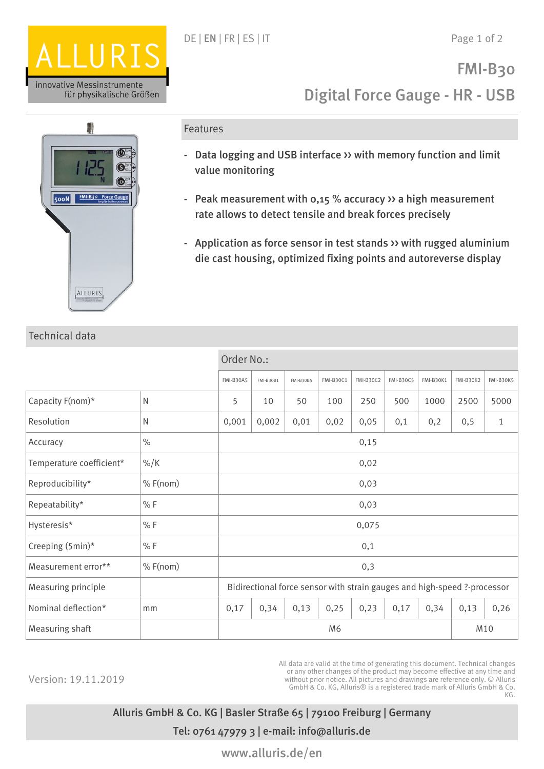



## Technical data

#### Features

- Data logging and USB interface >> with memory function and limit value monitoring
- Peak measurement with 0,15 % accuracy  $\rightarrow$  a high measurement rate allows to detect tensile and break forces precisely
- Application as force sensor in test stands >> with rugged aluminium die cast housing, optimized fixing points and autoreverse display

|                          |                 | Order No.:                                                               |                  |                  |                  |                  |                  |                  |                  |                  |
|--------------------------|-----------------|--------------------------------------------------------------------------|------------------|------------------|------------------|------------------|------------------|------------------|------------------|------------------|
|                          |                 | <b>FMI-B30A5</b>                                                         | <b>FMI-B30B1</b> | <b>FMI-B30B5</b> | <b>FMI-B30C1</b> | <b>FMI-B30C2</b> | <b>FMI-B30C5</b> | <b>FMI-B30K1</b> | <b>FMI-B30K2</b> | <b>FMI-B30K5</b> |
| Capacity F(nom)*         | $\mathsf{N}$    | 5                                                                        | 10               | 50               | 100              | 250              | 500              | 1000             | 2500             | 5000             |
| Resolution               | N               | 0,001                                                                    | 0,002            | 0,01             | 0,02             | 0,05             | 0,1              | 0,2              | 0, 5             | $\mathbf{1}$     |
| Accuracy                 | $\%$            | 0,15                                                                     |                  |                  |                  |                  |                  |                  |                  |                  |
| Temperature coefficient* | $\frac{9}{6}$ K | 0,02                                                                     |                  |                  |                  |                  |                  |                  |                  |                  |
| Reproducibility*         | $%$ F(nom)      | 0,03                                                                     |                  |                  |                  |                  |                  |                  |                  |                  |
| Repeatability*           | % F             | 0,03                                                                     |                  |                  |                  |                  |                  |                  |                  |                  |
| Hysteresis*              | % F             |                                                                          |                  |                  |                  | 0,075            |                  |                  |                  |                  |
| Creeping (5min)*         | % F             |                                                                          |                  |                  |                  | 0,1              |                  |                  |                  |                  |
| Measurement error**      | $%$ F(nom)      | 0,3                                                                      |                  |                  |                  |                  |                  |                  |                  |                  |
| Measuring principle      |                 | Bidirectional force sensor with strain gauges and high-speed ?-processor |                  |                  |                  |                  |                  |                  |                  |                  |
| Nominal deflection*      | mm              | 0,17                                                                     | 0,34             | 0,13             | 0,25             | 0,23             | 0,17             | 0,34             | 0,13             | 0,26             |
| Measuring shaft          |                 |                                                                          |                  |                  | M6               |                  |                  |                  |                  | M10              |

Version: 19.11.2019

All data are valid at the time of generating this document. Technical changes or any other changes of the product may become effective at any time and without prior notice. All pictures and drawings are reference only. © Alluris GmbH & Co. KG, Alluris® is a registered trade mark of Alluris GmbH & Co. KG.

# Alluris GmbH & Co. KG | Basler Straße 65 | 79100 Freiburg | Germany Tel: 0761 47979 3 | e-mail: info@alluris.de

www.alluris.de/en